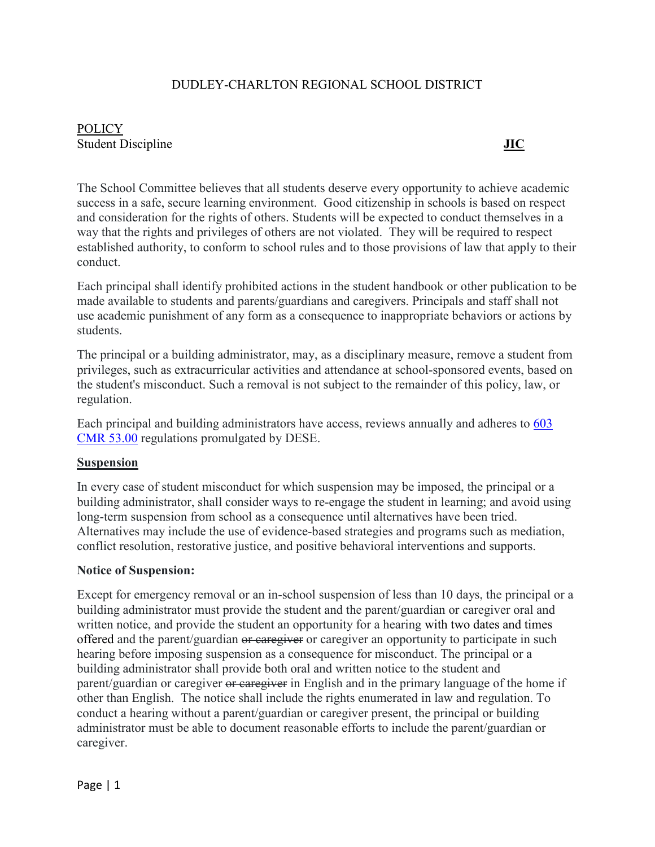#### DUDLEY-CHARLTON REGIONAL SCHOOL DISTRICT

# **POLICY** Student Discipline **JIC**

The School Committee believes that all students deserve every opportunity to achieve academic success in a safe, secure learning environment. Good citizenship in schools is based on respect and consideration for the rights of others. Students will be expected to conduct themselves in a way that the rights and privileges of others are not violated. They will be required to respect established authority, to conform to school rules and to those provisions of law that apply to their conduct.

Each principal shall identify prohibited actions in the student handbook or other publication to be made available to students and parents/guardians and caregivers. Principals and staff shall not use academic punishment of any form as a consequence to inappropriate behaviors or actions by students.

The principal or a building administrator, may, as a disciplinary measure, remove a student from privileges, such as extracurricular activities and attendance at school-sponsored events, based on the student's misconduct. Such a removal is not subject to the remainder of this policy, law, or regulation.

Each principal and building administrators have access, reviews annually and adheres to [603](https://www.doe.mass.edu/lawsregs/603cmr53.html?section=53.14)  [CMR 53.00](https://www.doe.mass.edu/lawsregs/603cmr53.html?section=53.14) regulations promulgated by DESE.

#### **Suspension**

In every case of student misconduct for which suspension may be imposed, the principal or a building administrator, shall consider ways to re-engage the student in learning; and avoid using long-term suspension from school as a consequence until alternatives have been tried. Alternatives may include the use of evidence-based strategies and programs such as mediation, conflict resolution, restorative justice, and positive behavioral interventions and supports.

#### **Notice of Suspension:**

Except for emergency removal or an in-school suspension of less than 10 days, the principal or a building administrator must provide the student and the parent/guardian or caregiver oral and written notice, and provide the student an opportunity for a hearing with two dates and times offered and the parent/guardian or caregiver or caregiver an opportunity to participate in such hearing before imposing suspension as a consequence for misconduct. The principal or a building administrator shall provide both oral and written notice to the student and parent/guardian or caregiver or caregiver in English and in the primary language of the home if other than English. The notice shall include the rights enumerated in law and regulation. To conduct a hearing without a parent/guardian or caregiver present, the principal or building administrator must be able to document reasonable efforts to include the parent/guardian or caregiver.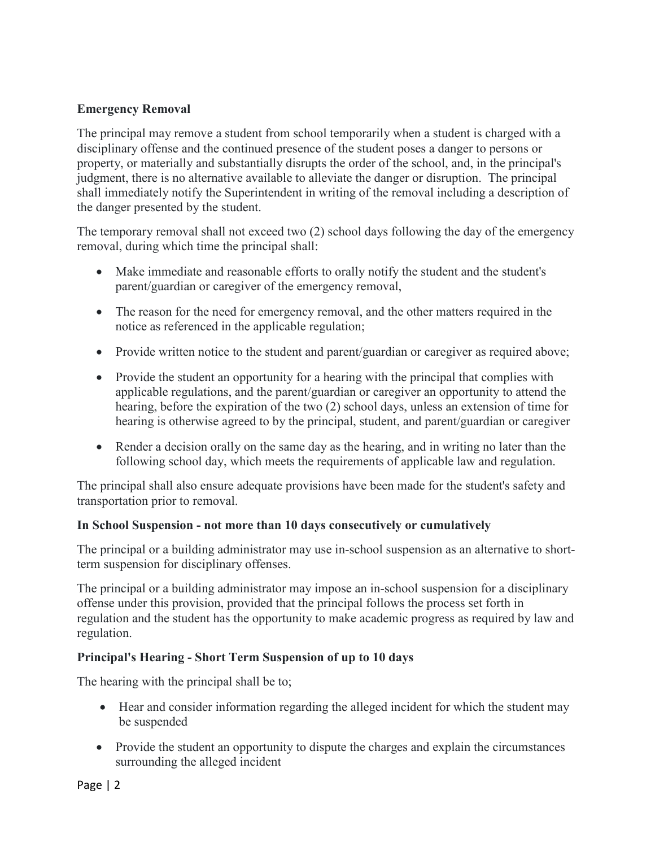### **Emergency Removal**

The principal may remove a student from school temporarily when a student is charged with a disciplinary offense and the continued presence of the student poses a danger to persons or property, or materially and substantially disrupts the order of the school, and, in the principal's judgment, there is no alternative available to alleviate the danger or disruption. The principal shall immediately notify the Superintendent in writing of the removal including a description of the danger presented by the student.

The temporary removal shall not exceed two (2) school days following the day of the emergency removal, during which time the principal shall:

- Make immediate and reasonable efforts to orally notify the student and the student's parent/guardian or caregiver of the emergency removal,
- The reason for the need for emergency removal, and the other matters required in the notice as referenced in the applicable regulation;
- Provide written notice to the student and parent/guardian or caregiver as required above;
- Provide the student an opportunity for a hearing with the principal that complies with applicable regulations, and the parent/guardian or caregiver an opportunity to attend the hearing, before the expiration of the two (2) school days, unless an extension of time for hearing is otherwise agreed to by the principal, student, and parent/guardian or caregiver
- Render a decision orally on the same day as the hearing, and in writing no later than the following school day, which meets the requirements of applicable law and regulation.

The principal shall also ensure adequate provisions have been made for the student's safety and transportation prior to removal.

#### **In School Suspension - not more than 10 days consecutively or cumulatively**

The principal or a building administrator may use in-school suspension as an alternative to shortterm suspension for disciplinary offenses.

The principal or a building administrator may impose an in-school suspension for a disciplinary offense under this provision, provided that the principal follows the process set forth in regulation and the student has the opportunity to make academic progress as required by law and regulation.

#### **Principal's Hearing - Short Term Suspension of up to 10 days**

The hearing with the principal shall be to;

- Hear and consider information regarding the alleged incident for which the student may be suspended
- Provide the student an opportunity to dispute the charges and explain the circumstances surrounding the alleged incident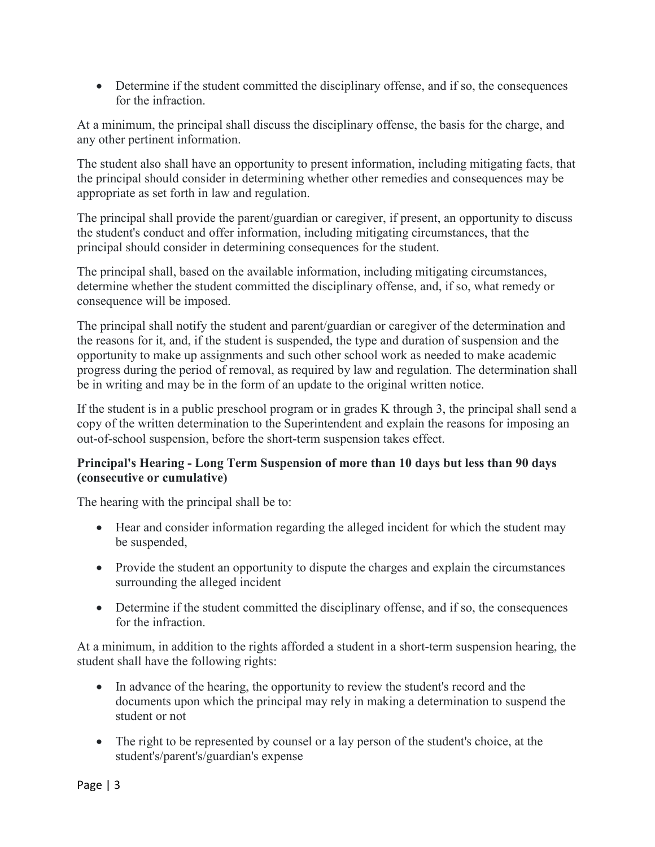• Determine if the student committed the disciplinary offense, and if so, the consequences for the infraction.

At a minimum, the principal shall discuss the disciplinary offense, the basis for the charge, and any other pertinent information.

The student also shall have an opportunity to present information, including mitigating facts, that the principal should consider in determining whether other remedies and consequences may be appropriate as set forth in law and regulation.

The principal shall provide the parent/guardian or caregiver, if present, an opportunity to discuss the student's conduct and offer information, including mitigating circumstances, that the principal should consider in determining consequences for the student.

The principal shall, based on the available information, including mitigating circumstances, determine whether the student committed the disciplinary offense, and, if so, what remedy or consequence will be imposed.

The principal shall notify the student and parent/guardian or caregiver of the determination and the reasons for it, and, if the student is suspended, the type and duration of suspension and the opportunity to make up assignments and such other school work as needed to make academic progress during the period of removal, as required by law and regulation. The determination shall be in writing and may be in the form of an update to the original written notice.

If the student is in a public preschool program or in grades K through 3, the principal shall send a copy of the written determination to the Superintendent and explain the reasons for imposing an out-of-school suspension, before the short-term suspension takes effect.

## **Principal's Hearing - Long Term Suspension of more than 10 days but less than 90 days (consecutive or cumulative)**

The hearing with the principal shall be to:

- Hear and consider information regarding the alleged incident for which the student may be suspended,
- Provide the student an opportunity to dispute the charges and explain the circumstances surrounding the alleged incident
- Determine if the student committed the disciplinary offense, and if so, the consequences for the infraction.

At a minimum, in addition to the rights afforded a student in a short-term suspension hearing, the student shall have the following rights:

- In advance of the hearing, the opportunity to review the student's record and the documents upon which the principal may rely in making a determination to suspend the student or not
- The right to be represented by counsel or a lay person of the student's choice, at the student's/parent's/guardian's expense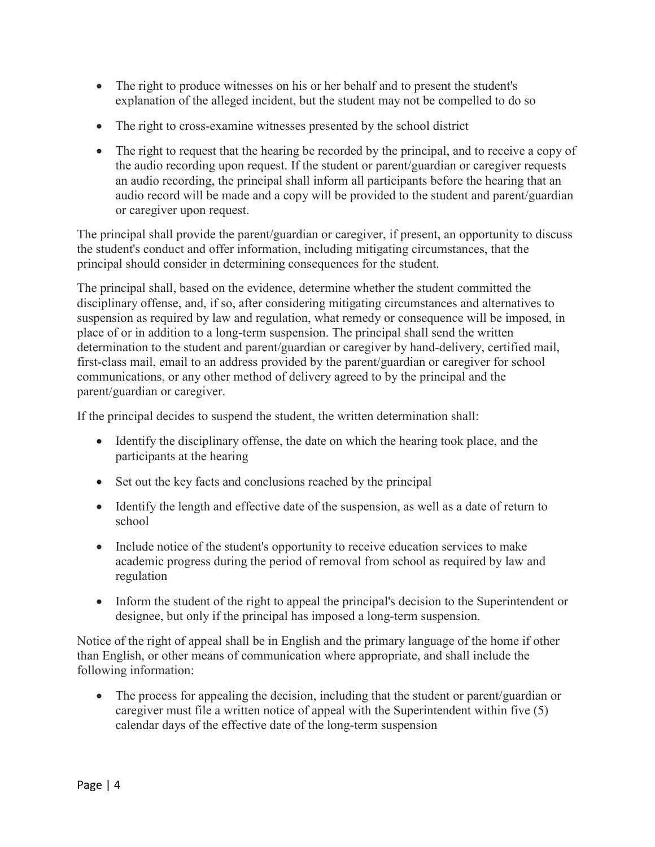- The right to produce witnesses on his or her behalf and to present the student's explanation of the alleged incident, but the student may not be compelled to do so
- The right to cross-examine witnesses presented by the school district
- The right to request that the hearing be recorded by the principal, and to receive a copy of the audio recording upon request. If the student or parent/guardian or caregiver requests an audio recording, the principal shall inform all participants before the hearing that an audio record will be made and a copy will be provided to the student and parent/guardian or caregiver upon request.

The principal shall provide the parent/guardian or caregiver, if present, an opportunity to discuss the student's conduct and offer information, including mitigating circumstances, that the principal should consider in determining consequences for the student.

The principal shall, based on the evidence, determine whether the student committed the disciplinary offense, and, if so, after considering mitigating circumstances and alternatives to suspension as required by law and regulation, what remedy or consequence will be imposed, in place of or in addition to a long-term suspension. The principal shall send the written determination to the student and parent/guardian or caregiver by hand-delivery, certified mail, first-class mail, email to an address provided by the parent/guardian or caregiver for school communications, or any other method of delivery agreed to by the principal and the parent/guardian or caregiver.

If the principal decides to suspend the student, the written determination shall:

- Identify the disciplinary offense, the date on which the hearing took place, and the participants at the hearing
- Set out the key facts and conclusions reached by the principal
- Identify the length and effective date of the suspension, as well as a date of return to school
- Include notice of the student's opportunity to receive education services to make academic progress during the period of removal from school as required by law and regulation
- Inform the student of the right to appeal the principal's decision to the Superintendent or designee, but only if the principal has imposed a long-term suspension.

Notice of the right of appeal shall be in English and the primary language of the home if other than English, or other means of communication where appropriate, and shall include the following information:

• The process for appealing the decision, including that the student or parent/guardian or caregiver must file a written notice of appeal with the Superintendent within five (5) calendar days of the effective date of the long-term suspension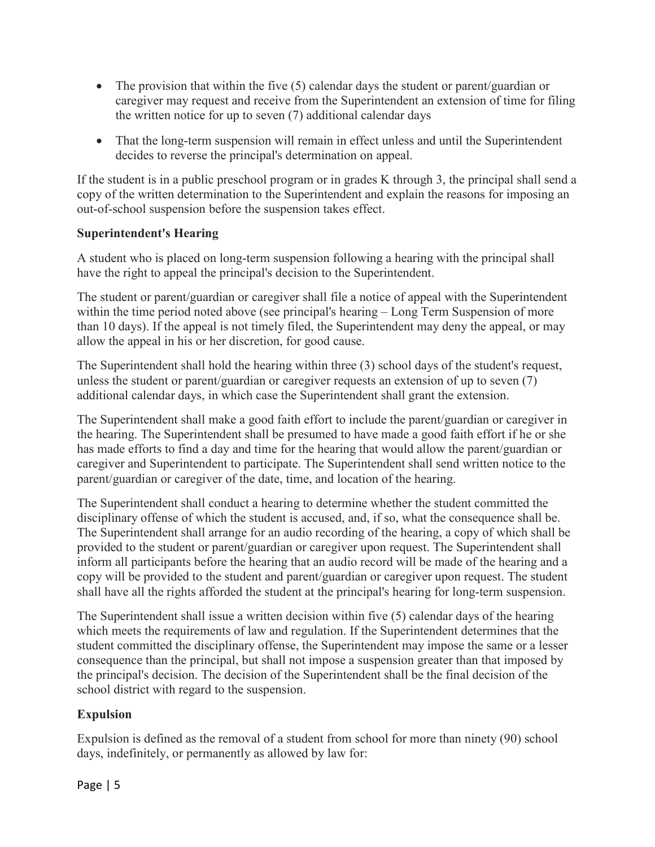- The provision that within the five (5) calendar days the student or parent/guardian or caregiver may request and receive from the Superintendent an extension of time for filing the written notice for up to seven (7) additional calendar days
- That the long-term suspension will remain in effect unless and until the Superintendent decides to reverse the principal's determination on appeal.

If the student is in a public preschool program or in grades K through 3, the principal shall send a copy of the written determination to the Superintendent and explain the reasons for imposing an out-of-school suspension before the suspension takes effect.

#### **Superintendent's Hearing**

A student who is placed on long-term suspension following a hearing with the principal shall have the right to appeal the principal's decision to the Superintendent.

The student or parent/guardian or caregiver shall file a notice of appeal with the Superintendent within the time period noted above (see principal's hearing – Long Term Suspension of more than 10 days). If the appeal is not timely filed, the Superintendent may deny the appeal, or may allow the appeal in his or her discretion, for good cause.

The Superintendent shall hold the hearing within three (3) school days of the student's request, unless the student or parent/guardian or caregiver requests an extension of up to seven (7) additional calendar days, in which case the Superintendent shall grant the extension.

The Superintendent shall make a good faith effort to include the parent/guardian or caregiver in the hearing. The Superintendent shall be presumed to have made a good faith effort if he or she has made efforts to find a day and time for the hearing that would allow the parent/guardian or caregiver and Superintendent to participate. The Superintendent shall send written notice to the parent/guardian or caregiver of the date, time, and location of the hearing.

The Superintendent shall conduct a hearing to determine whether the student committed the disciplinary offense of which the student is accused, and, if so, what the consequence shall be. The Superintendent shall arrange for an audio recording of the hearing, a copy of which shall be provided to the student or parent/guardian or caregiver upon request. The Superintendent shall inform all participants before the hearing that an audio record will be made of the hearing and a copy will be provided to the student and parent/guardian or caregiver upon request. The student shall have all the rights afforded the student at the principal's hearing for long-term suspension.

The Superintendent shall issue a written decision within five (5) calendar days of the hearing which meets the requirements of law and regulation. If the Superintendent determines that the student committed the disciplinary offense, the Superintendent may impose the same or a lesser consequence than the principal, but shall not impose a suspension greater than that imposed by the principal's decision. The decision of the Superintendent shall be the final decision of the school district with regard to the suspension.

# **Expulsion**

Expulsion is defined as the removal of a student from school for more than ninety (90) school days, indefinitely, or permanently as allowed by law for: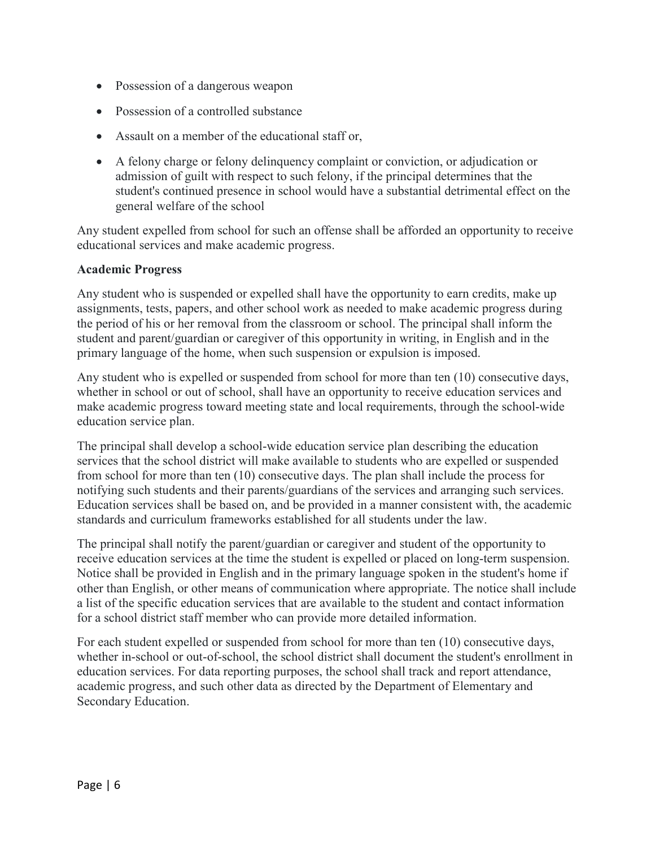- Possession of a dangerous weapon
- Possession of a controlled substance
- Assault on a member of the educational staff or,
- A felony charge or felony delinquency complaint or conviction, or adjudication or admission of guilt with respect to such felony, if the principal determines that the student's continued presence in school would have a substantial detrimental effect on the general welfare of the school

Any student expelled from school for such an offense shall be afforded an opportunity to receive educational services and make academic progress.

#### **Academic Progress**

Any student who is suspended or expelled shall have the opportunity to earn credits, make up assignments, tests, papers, and other school work as needed to make academic progress during the period of his or her removal from the classroom or school. The principal shall inform the student and parent/guardian or caregiver of this opportunity in writing, in English and in the primary language of the home, when such suspension or expulsion is imposed.

Any student who is expelled or suspended from school for more than ten (10) consecutive days, whether in school or out of school, shall have an opportunity to receive education services and make academic progress toward meeting state and local requirements, through the school-wide education service plan.

The principal shall develop a school-wide education service plan describing the education services that the school district will make available to students who are expelled or suspended from school for more than ten (10) consecutive days. The plan shall include the process for notifying such students and their parents/guardians of the services and arranging such services. Education services shall be based on, and be provided in a manner consistent with, the academic standards and curriculum frameworks established for all students under the law.

The principal shall notify the parent/guardian or caregiver and student of the opportunity to receive education services at the time the student is expelled or placed on long-term suspension. Notice shall be provided in English and in the primary language spoken in the student's home if other than English, or other means of communication where appropriate. The notice shall include a list of the specific education services that are available to the student and contact information for a school district staff member who can provide more detailed information.

For each student expelled or suspended from school for more than ten (10) consecutive days, whether in-school or out-of-school, the school district shall document the student's enrollment in education services. For data reporting purposes, the school shall track and report attendance, academic progress, and such other data as directed by the Department of Elementary and Secondary Education.